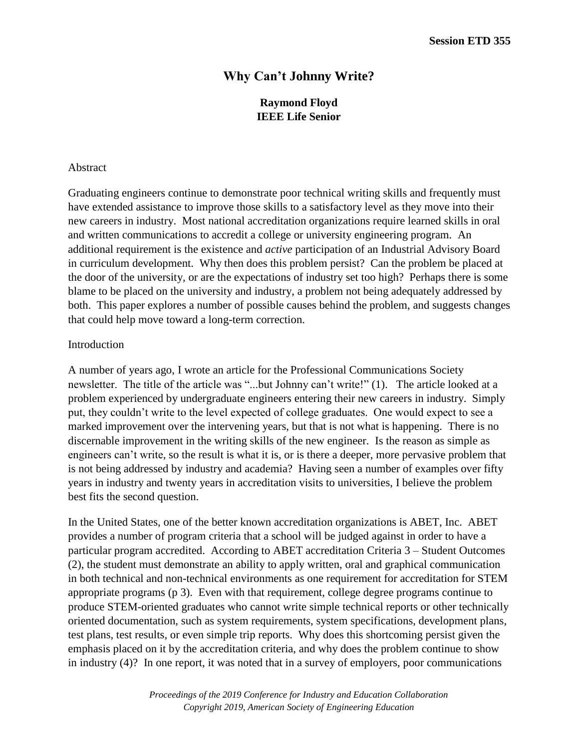# **Why Can't Johnny Write?**

# **Raymond Floyd IEEE Life Senior**

## Abstract

Graduating engineers continue to demonstrate poor technical writing skills and frequently must have extended assistance to improve those skills to a satisfactory level as they move into their new careers in industry. Most national accreditation organizations require learned skills in oral and written communications to accredit a college or university engineering program. An additional requirement is the existence and *active* participation of an Industrial Advisory Board in curriculum development. Why then does this problem persist? Can the problem be placed at the door of the university, or are the expectations of industry set too high? Perhaps there is some blame to be placed on the university and industry, a problem not being adequately addressed by both. This paper explores a number of possible causes behind the problem, and suggests changes that could help move toward a long-term correction.

# Introduction

A number of years ago, I wrote an article for the Professional Communications Society newsletter. The title of the article was "...but Johnny can't write!" (1). The article looked at a problem experienced by undergraduate engineers entering their new careers in industry. Simply put, they couldn't write to the level expected of college graduates. One would expect to see a marked improvement over the intervening years, but that is not what is happening. There is no discernable improvement in the writing skills of the new engineer. Is the reason as simple as engineers can't write, so the result is what it is, or is there a deeper, more pervasive problem that is not being addressed by industry and academia? Having seen a number of examples over fifty years in industry and twenty years in accreditation visits to universities, I believe the problem best fits the second question.

In the United States, one of the better known accreditation organizations is ABET, Inc. ABET provides a number of program criteria that a school will be judged against in order to have a particular program accredited. According to ABET accreditation Criteria 3 – Student Outcomes (2), the student must demonstrate an ability to apply written, oral and graphical communication in both technical and non-technical environments as one requirement for accreditation for STEM appropriate programs (p 3). Even with that requirement, college degree programs continue to produce STEM-oriented graduates who cannot write simple technical reports or other technically oriented documentation, such as system requirements, system specifications, development plans, test plans, test results, or even simple trip reports. Why does this shortcoming persist given the emphasis placed on it by the accreditation criteria, and why does the problem continue to show in industry (4)? In one report, it was noted that in a survey of employers, poor communications

> *Proceedings of the 2019 Conference for Industry and Education Collaboration Copyright 2019, American Society of Engineering Education*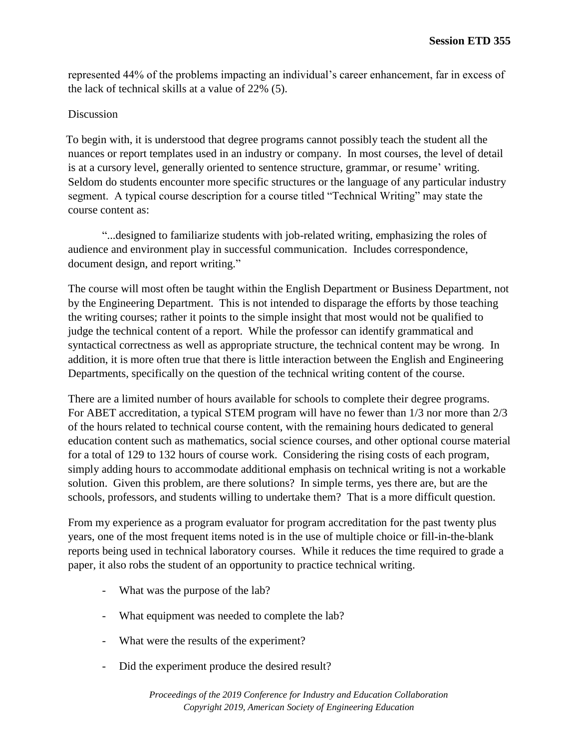represented 44% of the problems impacting an individual's career enhancement, far in excess of the lack of technical skills at a value of 22% (5).

# Discussion

To begin with, it is understood that degree programs cannot possibly teach the student all the nuances or report templates used in an industry or company. In most courses, the level of detail is at a cursory level, generally oriented to sentence structure, grammar, or resume' writing. Seldom do students encounter more specific structures or the language of any particular industry segment. A typical course description for a course titled "Technical Writing" may state the course content as:

"...designed to familiarize students with job-related writing, emphasizing the roles of audience and environment play in successful communication. Includes correspondence, document design, and report writing."

The course will most often be taught within the English Department or Business Department, not by the Engineering Department. This is not intended to disparage the efforts by those teaching the writing courses; rather it points to the simple insight that most would not be qualified to judge the technical content of a report. While the professor can identify grammatical and syntactical correctness as well as appropriate structure, the technical content may be wrong. In addition, it is more often true that there is little interaction between the English and Engineering Departments, specifically on the question of the technical writing content of the course.

There are a limited number of hours available for schools to complete their degree programs. For ABET accreditation, a typical STEM program will have no fewer than 1/3 nor more than 2/3 of the hours related to technical course content, with the remaining hours dedicated to general education content such as mathematics, social science courses, and other optional course material for a total of 129 to 132 hours of course work. Considering the rising costs of each program, simply adding hours to accommodate additional emphasis on technical writing is not a workable solution. Given this problem, are there solutions? In simple terms, yes there are, but are the schools, professors, and students willing to undertake them? That is a more difficult question.

From my experience as a program evaluator for program accreditation for the past twenty plus years, one of the most frequent items noted is in the use of multiple choice or fill-in-the-blank reports being used in technical laboratory courses. While it reduces the time required to grade a paper, it also robs the student of an opportunity to practice technical writing.

- What was the purpose of the lab?
- What equipment was needed to complete the lab?
- What were the results of the experiment?
- Did the experiment produce the desired result?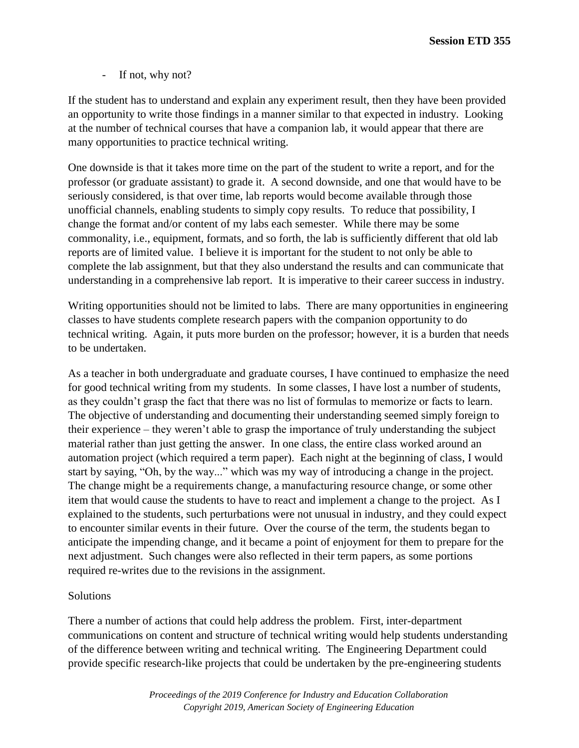- If not, why not?

If the student has to understand and explain any experiment result, then they have been provided an opportunity to write those findings in a manner similar to that expected in industry. Looking at the number of technical courses that have a companion lab, it would appear that there are many opportunities to practice technical writing.

One downside is that it takes more time on the part of the student to write a report, and for the professor (or graduate assistant) to grade it. A second downside, and one that would have to be seriously considered, is that over time, lab reports would become available through those unofficial channels, enabling students to simply copy results. To reduce that possibility, I change the format and/or content of my labs each semester. While there may be some commonality, i.e., equipment, formats, and so forth, the lab is sufficiently different that old lab reports are of limited value. I believe it is important for the student to not only be able to complete the lab assignment, but that they also understand the results and can communicate that understanding in a comprehensive lab report. It is imperative to their career success in industry.

Writing opportunities should not be limited to labs. There are many opportunities in engineering classes to have students complete research papers with the companion opportunity to do technical writing. Again, it puts more burden on the professor; however, it is a burden that needs to be undertaken.

As a teacher in both undergraduate and graduate courses, I have continued to emphasize the need for good technical writing from my students. In some classes, I have lost a number of students, as they couldn't grasp the fact that there was no list of formulas to memorize or facts to learn. The objective of understanding and documenting their understanding seemed simply foreign to their experience – they weren't able to grasp the importance of truly understanding the subject material rather than just getting the answer. In one class, the entire class worked around an automation project (which required a term paper). Each night at the beginning of class, I would start by saying, "Oh, by the way..." which was my way of introducing a change in the project. The change might be a requirements change, a manufacturing resource change, or some other item that would cause the students to have to react and implement a change to the project. As I explained to the students, such perturbations were not unusual in industry, and they could expect to encounter similar events in their future. Over the course of the term, the students began to anticipate the impending change, and it became a point of enjoyment for them to prepare for the next adjustment. Such changes were also reflected in their term papers, as some portions required re-writes due to the revisions in the assignment.

# Solutions

There a number of actions that could help address the problem. First, inter-department communications on content and structure of technical writing would help students understanding of the difference between writing and technical writing. The Engineering Department could provide specific research-like projects that could be undertaken by the pre-engineering students